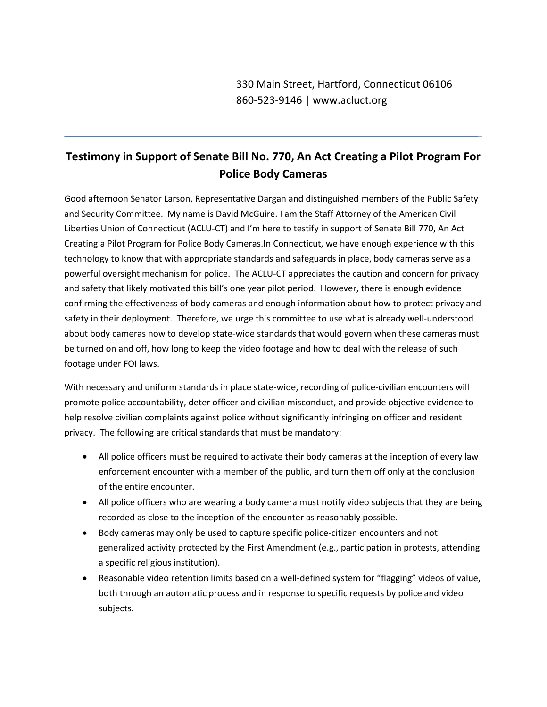## **Testimony in Support of Senate Bill No. 770, An Act Creating a Pilot Program For Police Body Cameras**

Good afternoon Senator Larson, Representative Dargan and distinguished members of the Public Safety and Security Committee. My name is David McGuire. I am the Staff Attorney of the American Civil Liberties Union of Connecticut (ACLU-CT) and I'm here to testify in support of Senate Bill 770, An Act Creating a Pilot Program for Police Body Cameras.In Connecticut, we have enough experience with this technology to know that with appropriate standards and safeguards in place, body cameras serve as a powerful oversight mechanism for police. The ACLU-CT appreciates the caution and concern for privacy and safety that likely motivated this bill's one year pilot period. However, there is enough evidence confirming the effectiveness of body cameras and enough information about how to protect privacy and safety in their deployment. Therefore, we urge this committee to use what is already well-understood about body cameras now to develop state-wide standards that would govern when these cameras must be turned on and off, how long to keep the video footage and how to deal with the release of such footage under FOI laws.

With necessary and uniform standards in place state-wide, recording of police-civilian encounters will promote police accountability, deter officer and civilian misconduct, and provide objective evidence to help resolve civilian complaints against police without significantly infringing on officer and resident privacy. The following are critical standards that must be mandatory:

- All police officers must be required to activate their body cameras at the inception of every law enforcement encounter with a member of the public, and turn them off only at the conclusion of the entire encounter.
- All police officers who are wearing a body camera must notify video subjects that they are being recorded as close to the inception of the encounter as reasonably possible.
- Body cameras may only be used to capture specific police-citizen encounters and not generalized activity protected by the First Amendment (e.g., participation in protests, attending a specific religious institution).
- Reasonable video retention limits based on a well-defined system for "flagging" videos of value, both through an automatic process and in response to specific requests by police and video subjects.